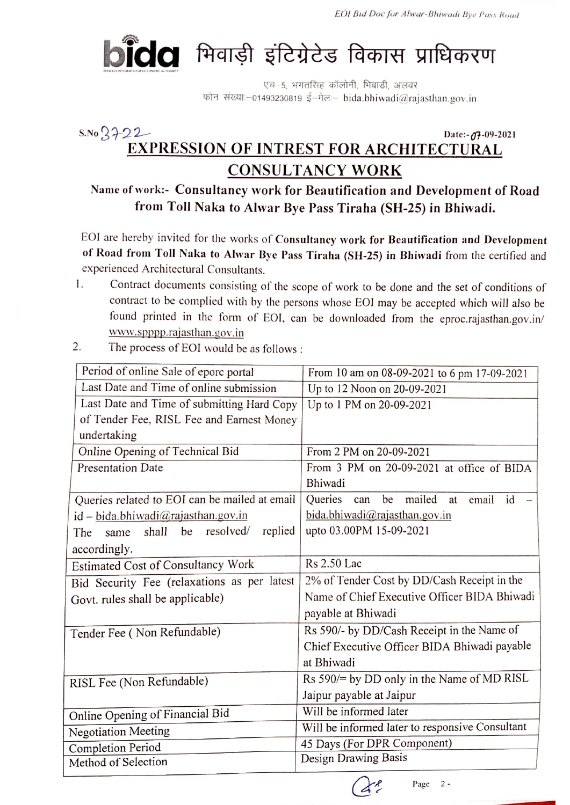

एच-5, भगतसिंह कॉलोनी, भिवाडी, अलवर फोन संख्याः-01493230819 ई-मेलः- bida.bhiwadi@rajasthan.gov.in

## $S.No 3722$ Date:-07-09-2021 **EXPRESSION OF INTREST FOR ARCHITECTURAL CONSULTANCY WORK**

## Name of work:- Consultancy work for Beautification and Development of Road from Toll Naka to Alwar Bye Pass Tiraha (SH-25) in Bhiwadi.

EOI are hereby invited for the works of Consultancy work for Beautification and Development of Road from Toll Naka to Alwar Bye Pass Tiraha (SH-25) in Bhiwadi from the certified and experienced Architectural Consultants.

- Contract documents consisting of the scope of work to be done and the set of conditions of 1. contract to be complied with by the persons whose EOI may be accepted which will also be found printed in the form of EOI, can be downloaded from the eproc.rajasthan.gov.in/ www.spppp.rajasthan.gov.in
- 2. The process of EOI would be as follows:

| Period of online Sale of eporc portal              | From 10 am on 08-09-2021 to 6 pm 17-09-2021             |
|----------------------------------------------------|---------------------------------------------------------|
| Last Date and Time of online submission            | Up to 12 Noon on 20-09-2021                             |
| Last Date and Time of submitting Hard Copy         | Up to 1 PM on 20-09-2021                                |
| of Tender Fee, RISL Fee and Earnest Money          |                                                         |
| undertaking                                        |                                                         |
| Online Opening of Technical Bid                    | From 2 PM on 20-09-2021                                 |
| <b>Presentation Date</b>                           | From 3 PM on 20-09-2021 at office of BIDA               |
|                                                    | Bhiwadi                                                 |
| Queries related to EOI can be mailed at email      | <b>Oueries</b><br>be mailed<br>email<br>id<br>can<br>at |
| $id - bida.bhiwadi@rajasthan.gov.in$               | bida.bhiwadi@rajasthan.gov.in                           |
| replied<br>resolved/<br>be<br>shall<br>The<br>same | upto 03.00PM 15-09-2021                                 |
| accordingly.                                       |                                                         |
| Estimated Cost of Consultancy Work                 | <b>Rs</b> 2.50 Lac                                      |
| Bid Security Fee (relaxations as per latest        | 2% of Tender Cost by DD/Cash Receipt in the             |
| Govt. rules shall be applicable)                   | Name of Chief Executive Officer BIDA Bhiwadi            |
|                                                    | payable at Bhiwadi                                      |
| Tender Fee (Non Refundable)                        | Rs 590/- by DD/Cash Receipt in the Name of              |
|                                                    | Chief Executive Officer BIDA Bhiwadi payable            |
|                                                    | at Bhiwadi                                              |
| RISL Fee (Non Refundable)                          | Rs 590/= by DD only in the Name of MD RISL              |
|                                                    | Jaipur payable at Jaipur                                |
| Online Opening of Financial Bid                    | Will be informed later                                  |
| <b>Negotiation Meeting</b>                         | Will be informed later to responsive Consultant         |
| <b>Completion Period</b>                           | 45 Days (For DPR Component)                             |
| Method of Selection                                | Design Drawing Basis                                    |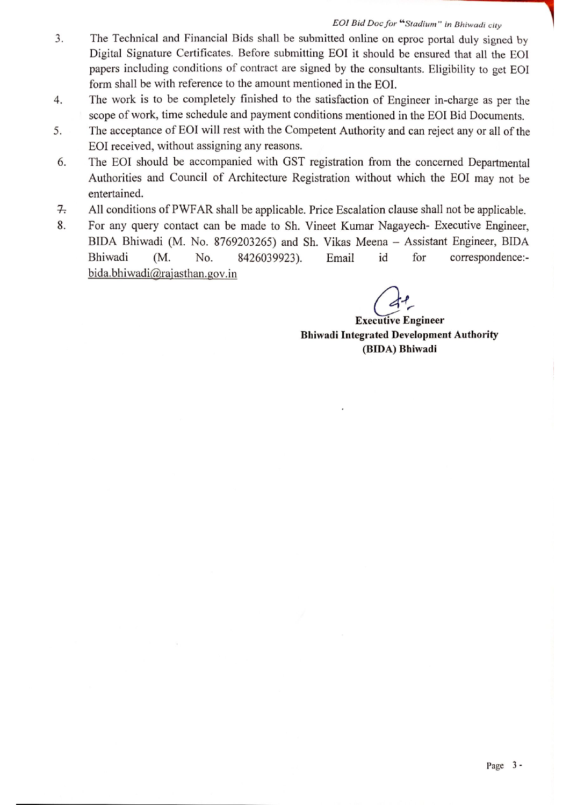## EOI Bid Doc for "Stadium" in Bhiwadi city

- The Technical and Financial Bids shall be submitted online on eproc portal duly signed by  $3.$ Digital Signature Certificates. Before submitting EOI it should be ensured that all the EOI papers including conditions of contract are signed by the consultants. Eligibility to get EOI form shall be with reference to the amount mentioned in the EOI.
- The work is to be completely finished to the satisfaction of Engineer in-charge as per the  $4.$ scope of work, time schedule and payment conditions mentioned in the EOI Bid Documents.
- The acceptance of EOI will rest with the Competent Authority and can reject any or all of the 5. EOI received, without assigning any reasons.
- The EOI should be accompanied with GST registration from the concerned Departmental 6. Authorities and Council of Architecture Registration without which the EOI may not be entertained.
- All conditions of PWFAR shall be applicable. Price Escalation clause shall not be applicable.  $7.$
- 8. For any query contact can be made to Sh. Vineet Kumar Nagayech- Executive Engineer, BIDA Bhiwadi (M. No. 8769203265) and Sh. Vikas Meena - Assistant Engineer, BIDA correspondence:-Bhiwadi (M.  $No.$ 8426039923). Email id for bida.bhiwadi@rajasthan.gov.in

**Executive Engineer Bhiwadi Integrated Development Authority** (BIDA) Bhiwadi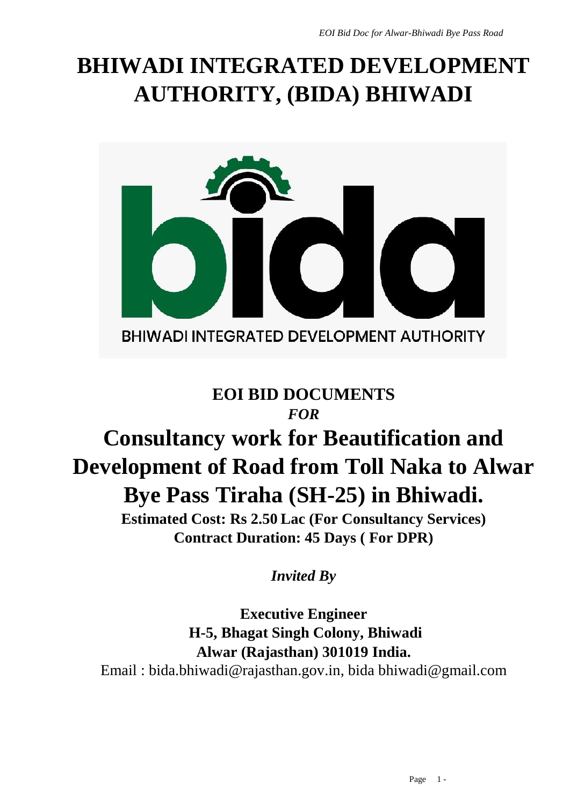# **BHIWADI INTEGRATED DEVELOPMENT AUTHORITY, (BIDA) BHIWADI**



## **EOI BID DOCUMENTS** *FOR*

# **Consultancy work for Beautification and Development of Road from Toll Naka to Alwar Bye Pass Tiraha (SH-25) in Bhiwadi.**

**Estimated Cost: Rs 2.50 Lac (For Consultancy Services) Contract Duration: 45 Days ( For DPR)**

*Invited By*

**Executive Engineer H-5, Bhagat Singh Colony, Bhiwadi Alwar (Rajasthan) 301019 India.** Email : bida.bhiwadi@rajasthan.gov.in, bida bhiwadi@gmail.com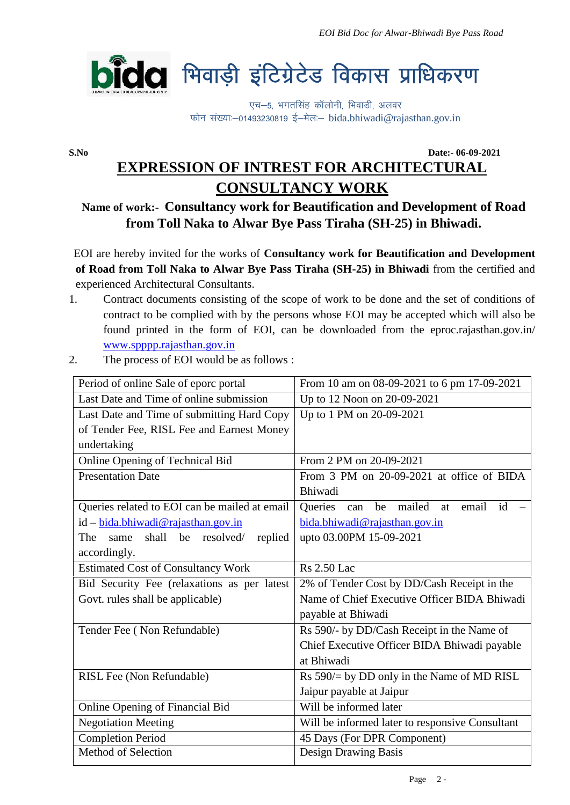

**S.No Date:- 06-09-2021**

## **EXPRESSION OF INTREST FOR ARCHITECTURAL CONSULTANCY WORK**

## **Name of work:- Consultancy work for Beautification and Development of Road from Toll Naka to Alwar Bye Pass Tiraha (SH-25) in Bhiwadi.**

EOI are hereby invited for the works of **Consultancy work for Beautification and Development of Road from Toll Naka to Alwar Bye Pass Tiraha (SH-25) in Bhiwadi** from the certified and experienced Architectural Consultants.

- 1. Contract documents consisting of the scope of work to be done and the set of conditions of contract to be complied with by the persons whose EOI may be accepted which will also be found printed in the form of EOI, can be downloaded from the eproc.rajasthan.gov.in/ www.spppp.rajasthan.gov.in
- 2. The process of EOI would be as follows :

| Period of online Sale of eporc portal         | From 10 am on 08-09-2021 to 6 pm 17-09-2021     |
|-----------------------------------------------|-------------------------------------------------|
| Last Date and Time of online submission       | Up to 12 Noon on 20-09-2021                     |
| Last Date and Time of submitting Hard Copy    | Up to 1 PM on 20-09-2021                        |
| of Tender Fee, RISL Fee and Earnest Money     |                                                 |
| undertaking                                   |                                                 |
| Online Opening of Technical Bid               | From 2 PM on 20-09-2021                         |
| <b>Presentation Date</b>                      | From 3 PM on 20-09-2021 at office of BIDA       |
|                                               | Bhiwadi                                         |
| Queries related to EOI can be mailed at email | email id<br>Queries<br>be mailed<br>at<br>can   |
| id – bida.bhiwadi@rajasthan.gov.in            | bida.bhiwadi@rajasthan.gov.in                   |
| shall be resolved/<br>replied<br>The<br>same  | upto 03.00PM 15-09-2021                         |
| accordingly.                                  |                                                 |
| <b>Estimated Cost of Consultancy Work</b>     | <b>Rs</b> 2.50 Lac                              |
| Bid Security Fee (relaxations as per latest   | 2% of Tender Cost by DD/Cash Receipt in the     |
| Govt. rules shall be applicable)              | Name of Chief Executive Officer BIDA Bhiwadi    |
|                                               | payable at Bhiwadi                              |
| Tender Fee (Non Refundable)                   | Rs 590/- by DD/Cash Receipt in the Name of      |
|                                               | Chief Executive Officer BIDA Bhiwadi payable    |
|                                               | at Bhiwadi                                      |
| RISL Fee (Non Refundable)                     | Rs 590/= by DD only in the Name of MD RISL      |
|                                               | Jaipur payable at Jaipur                        |
| Online Opening of Financial Bid               | Will be informed later                          |
| <b>Negotiation Meeting</b>                    | Will be informed later to responsive Consultant |
| <b>Completion Period</b>                      | 45 Days (For DPR Component)                     |
| Method of Selection                           | <b>Design Drawing Basis</b>                     |
|                                               |                                                 |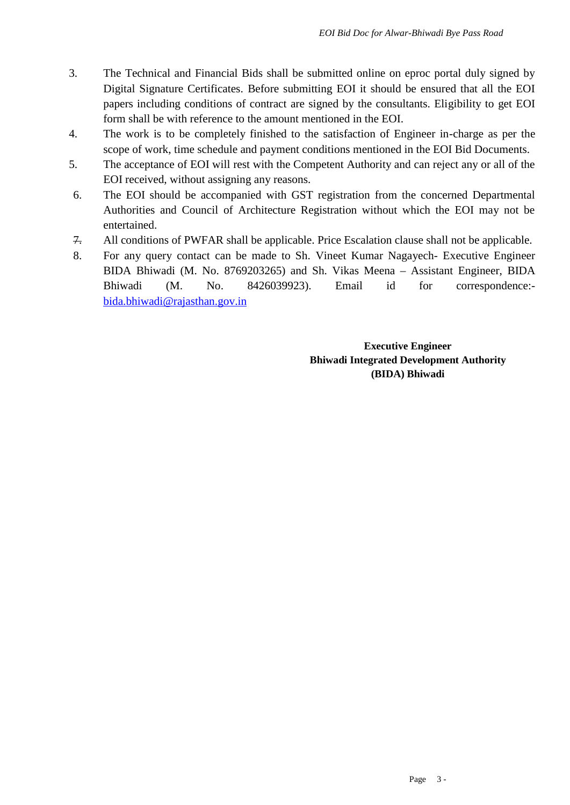- 3. The Technical and Financial Bids shall be submitted online on eproc portal duly signed by Digital Signature Certificates. Before submitting EOI it should be ensured that all the EOI papers including conditions of contract are signed by the consultants. Eligibility to get EOI form shall be with reference to the amount mentioned in the EOI.
- 4. The work is to be completely finished to the satisfaction of Engineer in-charge as per the scope of work, time schedule and payment conditions mentioned in the EOI Bid Documents.
- 5. The acceptance of EOI will rest with the Competent Authority and can reject any or all of the EOI received, without assigning any reasons.
- 6. The EOI should be accompanied with GST registration from the concerned Departmental Authorities and Council of Architecture Registration without which the EOI may not be entertained.
- 7. All conditions of PWFAR shall be applicable. Price Escalation clause shall not be applicable.
- 8. For any query contact can be made to Sh. Vineet Kumar Nagayech- Executive Engineer BIDA Bhiwadi (M. No. 8769203265) and Sh. Vikas Meena – Assistant Engineer, BIDA Bhiwadi (M. No. 8426039923). Email id for correspondence: bida.bhiwadi@rajasthan.gov.in

**Executive Engineer Bhiwadi Integrated Development Authority (BIDA) Bhiwadi**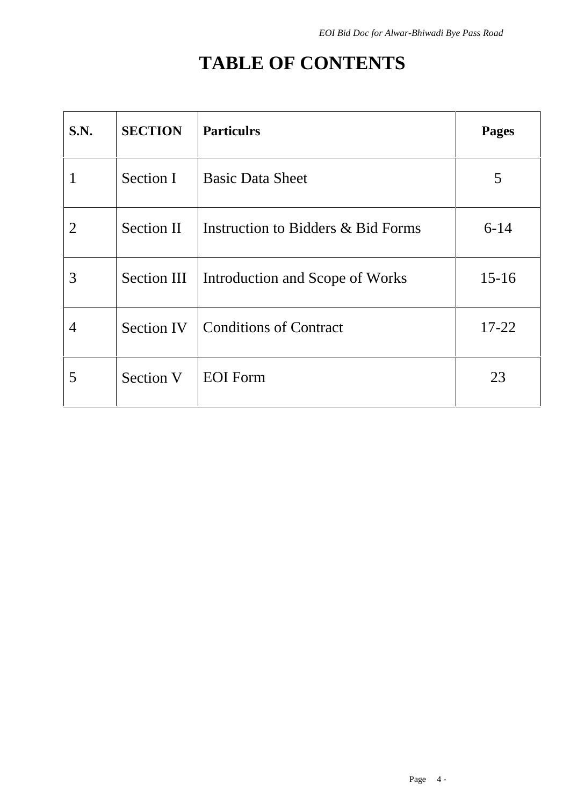# **TABLE OF CONTENTS**

| S.N.           | <b>SECTION</b> | <b>Particulrs</b>                  | <b>Pages</b> |  |
|----------------|----------------|------------------------------------|--------------|--|
| 1              | Section I      | <b>Basic Data Sheet</b>            | 5            |  |
| $\overline{2}$ | Section II     | Instruction to Bidders & Bid Forms | $6 - 14$     |  |
| 3              | Section III    | Introduction and Scope of Works    | $15-16$      |  |
| 4              | Section IV     | <b>Conditions of Contract</b>      | $17 - 22$    |  |
| 5              | Section V      | <b>EOI</b> Form                    | 23           |  |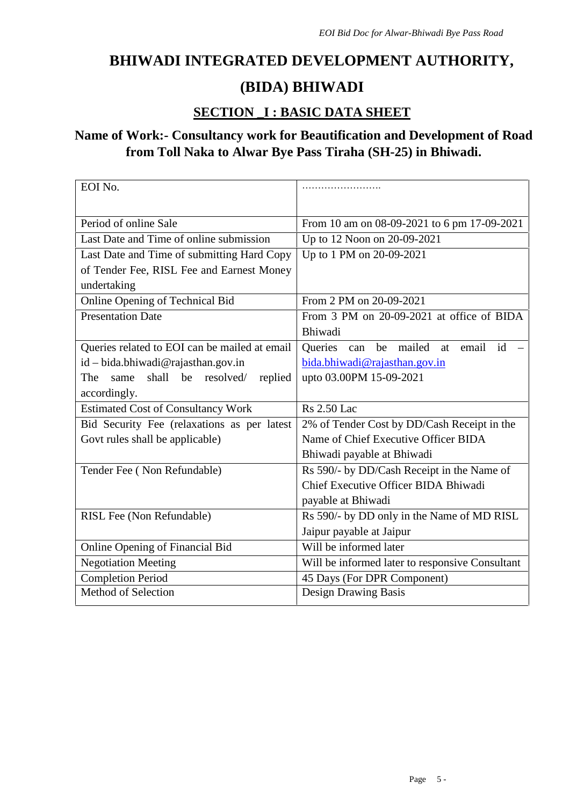## **BHIWADI INTEGRATED DEVELOPMENT AUTHORITY,**

## **(BIDA) BHIWADI**

## **SECTION \_I : BASIC DATA SHEET**

## **Name of Work:- Consultancy work for Beautification and Development of Road from Toll Naka to Alwar Bye Pass Tiraha (SH-25) in Bhiwadi.**

| EOI No.                                       |                                                   |
|-----------------------------------------------|---------------------------------------------------|
|                                               |                                                   |
| Period of online Sale                         | From 10 am on 08-09-2021 to 6 pm 17-09-2021       |
| Last Date and Time of online submission       | Up to 12 Noon on 20-09-2021                       |
| Last Date and Time of submitting Hard Copy    | Up to 1 PM on 20-09-2021                          |
| of Tender Fee, RISL Fee and Earnest Money     |                                                   |
| undertaking                                   |                                                   |
| Online Opening of Technical Bid               | From 2 PM on 20-09-2021                           |
| <b>Presentation Date</b>                      | From 3 PM on 20-09-2021 at office of BIDA         |
|                                               | Bhiwadi                                           |
| Queries related to EOI can be mailed at email | be mailed at<br>email id<br><b>Queries</b><br>can |
| id – bida.bhiwadi@rajasthan.gov.in            | bida.bhiwadi@rajasthan.gov.in                     |
| shall be resolved/<br>same<br>replied<br>The  | upto 03.00PM 15-09-2021                           |
| accordingly.                                  |                                                   |
| <b>Estimated Cost of Consultancy Work</b>     | <b>Rs</b> 2.50 Lac                                |
| Bid Security Fee (relaxations as per latest   | 2% of Tender Cost by DD/Cash Receipt in the       |
| Govt rules shall be applicable)               | Name of Chief Executive Officer BIDA              |
|                                               | Bhiwadi payable at Bhiwadi                        |
| Tender Fee (Non Refundable)                   | Rs 590/- by DD/Cash Receipt in the Name of        |
|                                               | Chief Executive Officer BIDA Bhiwadi              |
|                                               | payable at Bhiwadi                                |
| RISL Fee (Non Refundable)                     | Rs 590/- by DD only in the Name of MD RISL        |
|                                               | Jaipur payable at Jaipur                          |
| Online Opening of Financial Bid               | Will be informed later                            |
| <b>Negotiation Meeting</b>                    | Will be informed later to responsive Consultant   |
| <b>Completion Period</b>                      | 45 Days (For DPR Component)                       |
| Method of Selection                           | Design Drawing Basis                              |
|                                               |                                                   |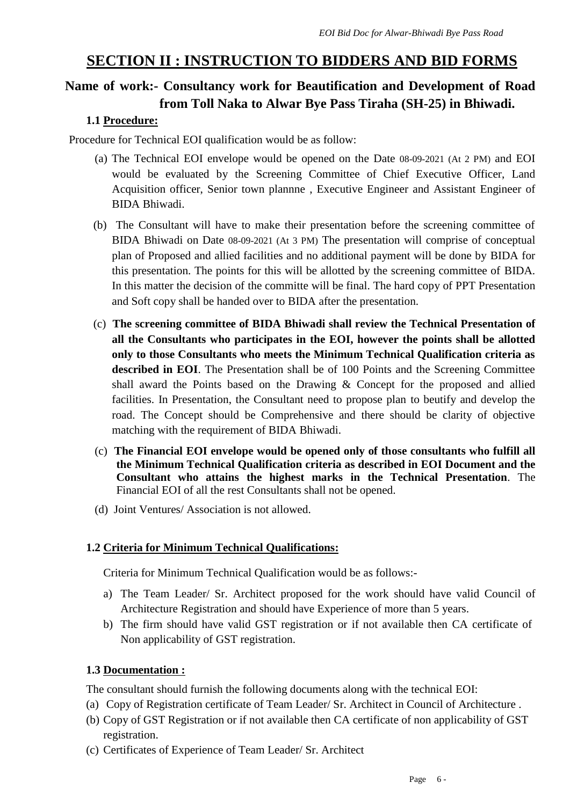## **SECTION II : INSTRUCTION TO BIDDERS AND BID FORMS**

## **Name of work:- Consultancy work for Beautification and Development of Road from Toll Naka to Alwar Bye Pass Tiraha (SH-25) in Bhiwadi.**

#### **1.1 Procedure:**

Procedure for Technical EOI qualification would be as follow:

- (a) The Technical EOI envelope would be opened on the Date 08-09-2021 (At 2 PM) and EOI would be evaluated by the Screening Committee of Chief Executive Officer, Land Acquisition officer, Senior town plannne , Executive Engineer and Assistant Engineer of BIDA Bhiwadi.
- (b) The Consultant will have to make their presentation before the screening committee of BIDA Bhiwadi on Date 08-09-2021 (At 3 PM) The presentation will comprise of conceptual plan of Proposed and allied facilities and no additional payment will be done by BIDA for this presentation. The points for this will be allotted by the screening committee of BIDA. In this matter the decision of the committe will be final. The hard copy of PPT Presentation and Soft copy shall be handed over to BIDA after the presentation.
- (c) **The screening committee of BIDA Bhiwadi shall review the Technical Presentation of all the Consultants who participates in the EOI, however the points shall be allotted only to those Consultants who meets the Minimum Technical Qualification criteria as described in EOI**. The Presentation shall be of 100 Points and the Screening Committee shall award the Points based on the Drawing & Concept for the proposed and allied facilities. In Presentation, the Consultant need to propose plan to beutify and develop the road. The Concept should be Comprehensive and there should be clarity of objective matching with the requirement of BIDA Bhiwadi.
- (c) **The Financial EOI envelope would be opened only of those consultants who fulfill all the Minimum Technical Qualification criteria as described in EOI Document and the Consultant who attains the highest marks in the Technical Presentation**. The Financial EOI of all the rest Consultants shall not be opened.
- (d) Joint Ventures/ Association is not allowed.

### **1.2 Criteria for Minimum Technical Qualifications:**

Criteria for Minimum Technical Qualification would be as follows:-

- a) The Team Leader/ Sr. Architect proposed for the work should have valid Council of Architecture Registration and should have Experience of more than 5 years.
- b) The firm should have valid GST registration or if not available then CA certificate of Non applicability of GST registration.

### **1.3 Documentation :**

The consultant should furnish the following documents along with the technical EOI:

- (a) Copy of Registration certificate of Team Leader/ Sr. Architect in Council of Architecture .
- (b) Copy of GST Registration or if not available then CA certificate of non applicability of GST registration.
- (c) Certificates of Experience of Team Leader/ Sr. Architect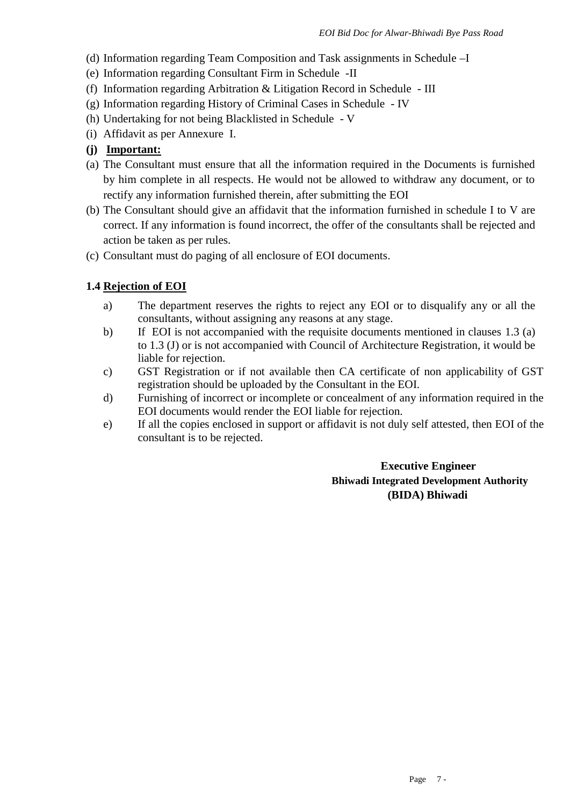- (d) Information regarding Team Composition and Task assignments in Schedule –I
- (e) Information regarding Consultant Firm in Schedule -II
- (f) Information regarding Arbitration & Litigation Record in Schedule -III
- (g) Information regarding History of Criminal Cases in Schedule IV
- (h) Undertaking for not being Blacklisted in Schedule -V
- (i) Affidavit as per Annexure I.
- **(j) Important:**
- (a) The Consultant must ensure that all the information required in the Documents is furnished by him complete in all respects. He would not be allowed to withdraw any document, or to rectify any information furnished therein, after submitting the EOI
- (b) The Consultant should give an affidavit that the information furnished in schedule I to V are correct. If any information is found incorrect, the offer of the consultants shall be rejected and action be taken as per rules.
- (c) Consultant must do paging of all enclosure of EOI documents.

#### **1.4 Rejection of EOI**

- a) The department reserves the rights to reject any EOI or to disqualify any or all the consultants, without assigning any reasons at any stage.
- b) If EOI is not accompanied with the requisite documents mentioned in clauses 1.3 (a) to 1.3 (J) or is not accompanied with Council of Architecture Registration, it would be liable for rejection.
- c) GST Registration or if not available then CA certificate of non applicability of GST registration should be uploaded by the Consultant in the EOI.
- d) Furnishing of incorrect or incomplete or concealment of any information required in the EOI documents would render the EOI liable for rejection.
- e) If all the copies enclosed in support or affidavit is not duly self attested, then EOI of the consultant is to be rejected.

**Executive Engineer Bhiwadi Integrated Development Authority (BIDA) Bhiwadi**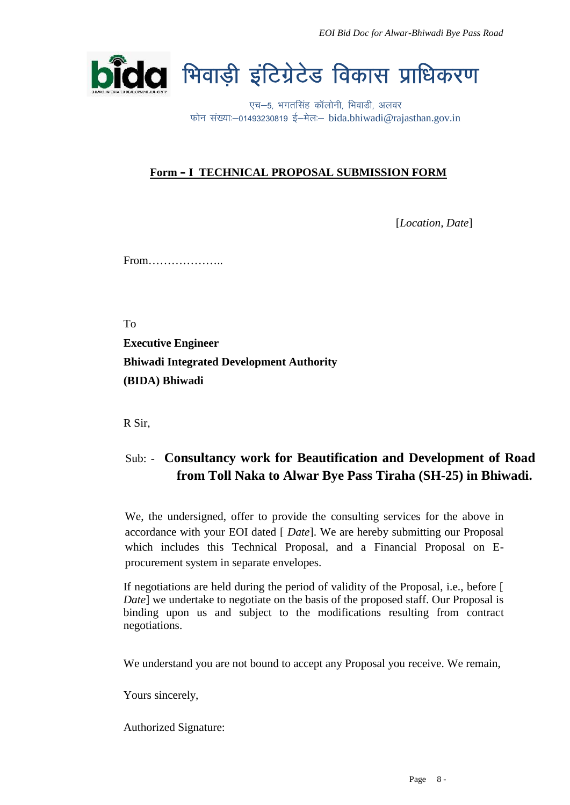

### **Form – I TECHNICAL PROPOSAL SUBMISSION FORM**

[*Location, Date*]

From………………..

To

**Executive Engineer Bhiwadi Integrated Development Authority (BIDA) Bhiwadi**

R Sir,

## Sub: - **Consultancy work for Beautification and Development of Road from Toll Naka to Alwar Bye Pass Tiraha (SH-25) in Bhiwadi.**

We, the undersigned, offer to provide the consulting services for the above in accordance with your EOI dated [ *Date*]. We are hereby submitting our Proposal which includes this Technical Proposal, and a Financial Proposal on E procurement system in separate envelopes.

If negotiations are held during the period of validity of the Proposal, i.e., before [ *Date*] we undertake to negotiate on the basis of the proposed staff. Our Proposal is binding upon us and subject to the modifications resulting from contract negotiations.

We understand you are not bound to accept any Proposal you receive. We remain,

Yours sincerely,

Authorized Signature: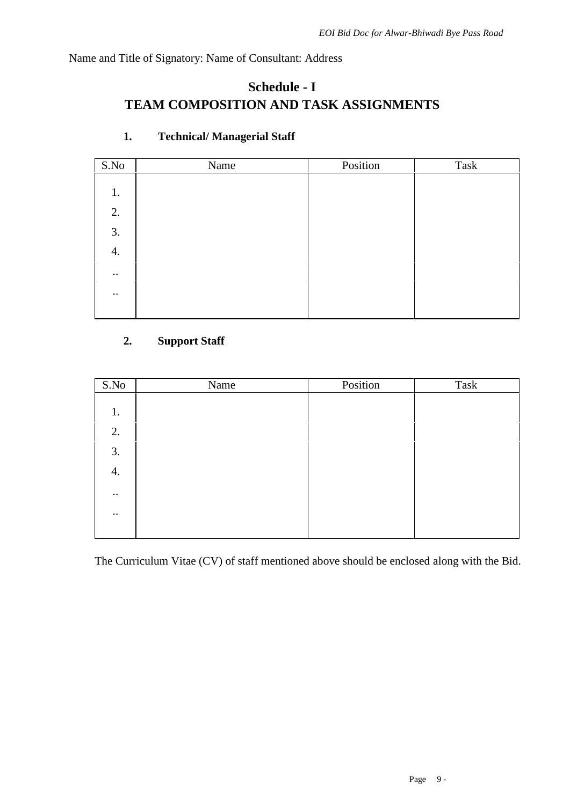Name and Title of Signatory: Name of Consultant: Address

## **Schedule - I TEAM COMPOSITION AND TASK ASSIGNMENTS**

| S.No             | Name | Position | Task |
|------------------|------|----------|------|
|                  |      |          |      |
| 1.               |      |          |      |
| 2.               |      |          |      |
| 3.               |      |          |      |
| 4.               |      |          |      |
| $\cdot\cdot$     |      |          |      |
| $\bullet\bullet$ |      |          |      |
|                  |      |          |      |

## **1. Technical/ Managerial Staff**

## **2. Support Staff**

| S.No         | Name | Position | Task |
|--------------|------|----------|------|
|              |      |          |      |
| 1.           |      |          |      |
| 2.           |      |          |      |
| 3.           |      |          |      |
| 4.           |      |          |      |
| $\cdot\cdot$ |      |          |      |
| $\cdot\cdot$ |      |          |      |
|              |      |          |      |

The Curriculum Vitae (CV) of staff mentioned above should be enclosed along with the Bid.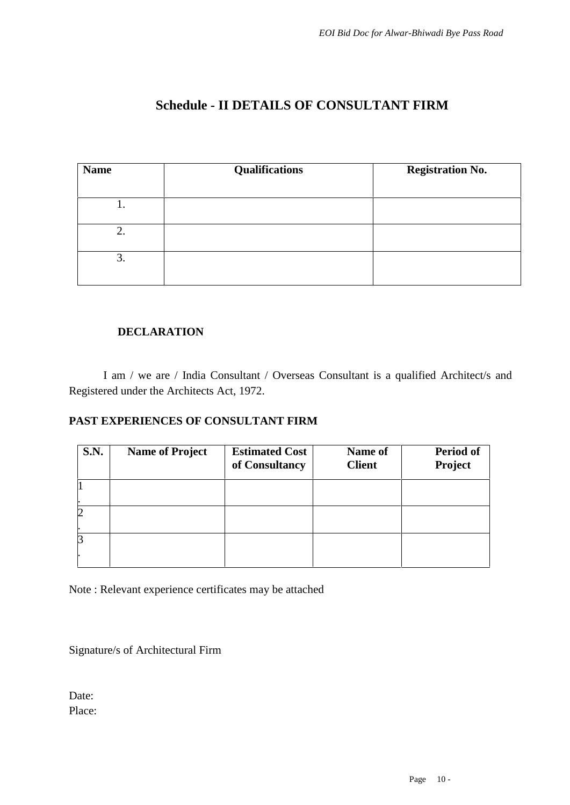## **Schedule - II DETAILS OF CONSULTANT FIRM**

| <b>Name</b> | <b>Qualifications</b> | <b>Registration No.</b> |
|-------------|-----------------------|-------------------------|
|             |                       |                         |
| ι.          |                       |                         |
| 2.          |                       |                         |
|             |                       |                         |
| 3.          |                       |                         |
|             |                       |                         |

### **DECLARATION**

I am / we are / India Consultant / Overseas Consultant is a qualified Architect/s and Registered under the Architects Act, 1972.

### **PAST EXPERIENCES OF CONSULTANT FIRM**

| <b>S.N.</b> | <b>Name of Project</b> | <b>Estimated Cost</b><br>of Consultancy | Name of<br><b>Client</b> | Period of<br><b>Project</b> |
|-------------|------------------------|-----------------------------------------|--------------------------|-----------------------------|
|             |                        |                                         |                          |                             |
|             |                        |                                         |                          |                             |
|             |                        |                                         |                          |                             |
|             |                        |                                         |                          |                             |

Note : Relevant experience certificates may be attached

Signature/s of Architectural Firm

Date: Place: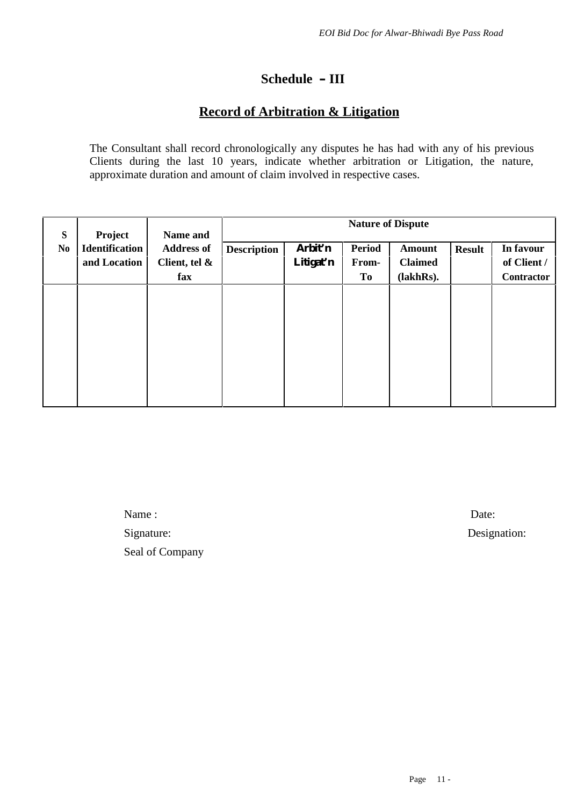## **Schedule – III**

## **Record of Arbitration & Litigation**

The Consultant shall record chronologically any disputes he has had with any of his previous Clients during the last 10 years, indicate whether arbitration or Litigation, the nature, approximate duration and amount of claim involved in respective cases.

| S              | Project                               | Name and                           | <b>Nature of Dispute</b> |                      |                        |                                 |               |                          |  |
|----------------|---------------------------------------|------------------------------------|--------------------------|----------------------|------------------------|---------------------------------|---------------|--------------------------|--|
| N <sub>0</sub> | <b>Identification</b><br>and Location | <b>Address of</b><br>Client, tel & | <b>Description</b>       | Arbit'n<br>Litigat'n | <b>Period</b><br>From- | <b>Amount</b><br><b>Claimed</b> | <b>Result</b> | In favour<br>of Client / |  |
|                |                                       | fax                                |                          |                      | To                     | (lakhRs).                       |               | <b>Contractor</b>        |  |
|                |                                       |                                    |                          |                      |                        |                                 |               |                          |  |
|                |                                       |                                    |                          |                      |                        |                                 |               |                          |  |
|                |                                       |                                    |                          |                      |                        |                                 |               |                          |  |
|                |                                       |                                    |                          |                      |                        |                                 |               |                          |  |

Name : Date: Signature: Designation: Seal of Company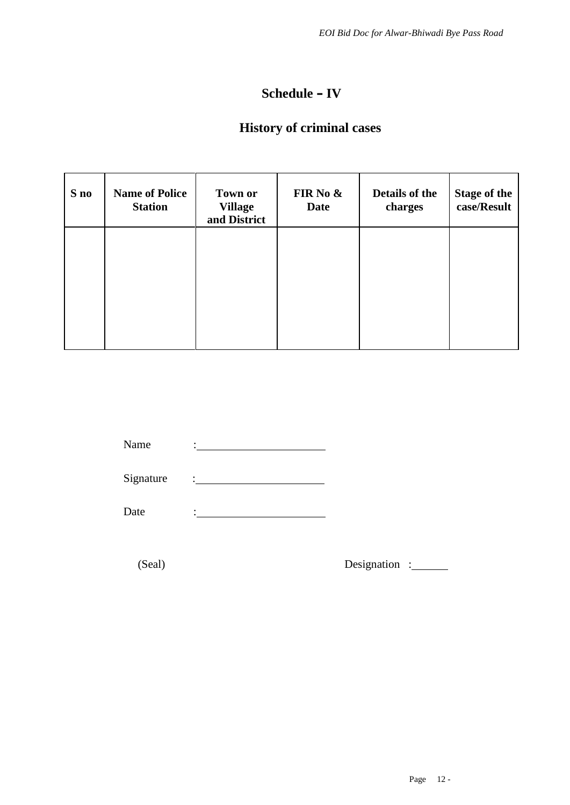## **Schedule – IV**

## **History of criminal cases**

| S no | <b>Name of Police</b><br><b>Station</b> | <b>Town or</b><br><b>Village</b><br>and District | FIR No &<br><b>Date</b> | Details of the<br>charges | <b>Stage of the</b><br>case/Result |
|------|-----------------------------------------|--------------------------------------------------|-------------------------|---------------------------|------------------------------------|
|      |                                         |                                                  |                         |                           |                                    |
|      |                                         |                                                  |                         |                           |                                    |
|      |                                         |                                                  |                         |                           |                                    |

Name :

Signature

Date :

(Seal) Designation :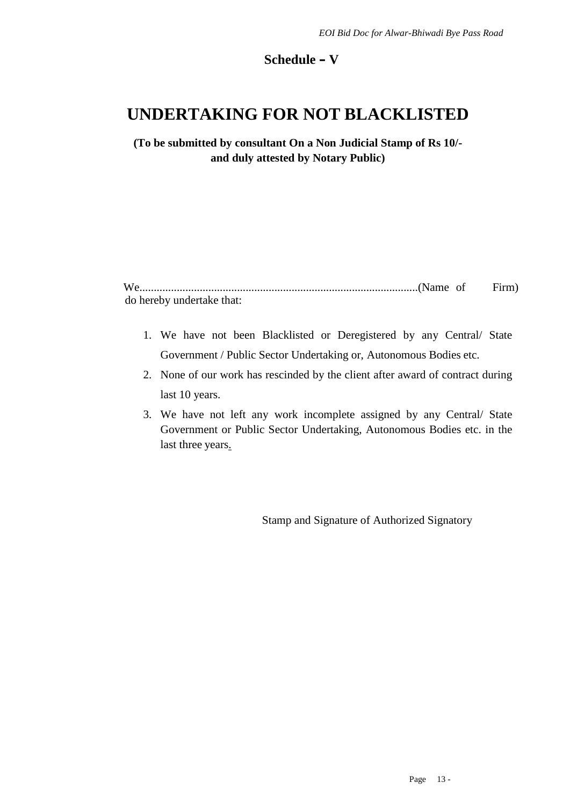#### **Schedule – V**

## **UNDERTAKING FOR NOT BLACKLISTED**

**(To be submitted by consultant On a Non Judicial Stamp of Rs 10/ and duly attested by Notary Public)**

| do hereby undertake that: |  |  |
|---------------------------|--|--|

- 1. We have not been Blacklisted or Deregistered by any Central/ State Government / Public Sector Undertaking or, Autonomous Bodies etc.
- 2. None of our work has rescinded by the client after award of contract during last 10 years.
- 3. We have not left any work incomplete assigned by any Central/ State Government or Public Sector Undertaking, Autonomous Bodies etc. in the last three years.

Stamp and Signature of Authorized Signatory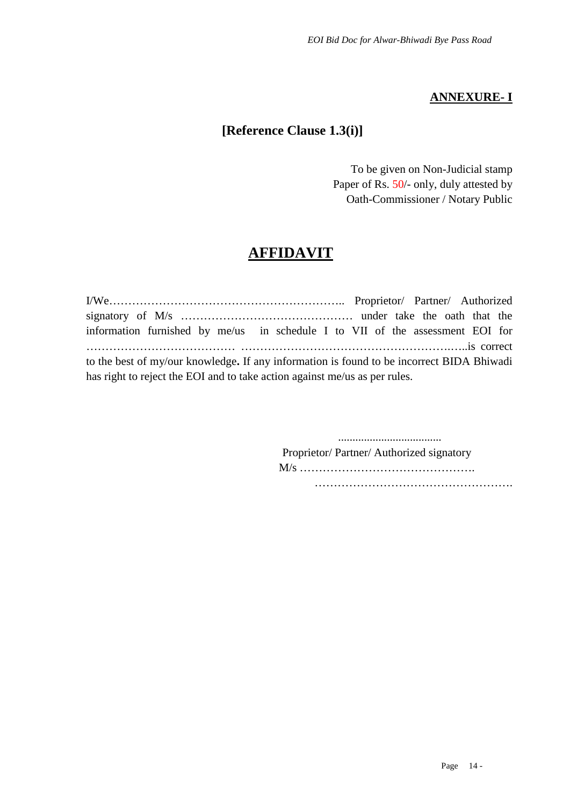## **ANNEXURE- I**

## **[Reference Clause 1.3(i)]**

To be given on Non-Judicial stamp Paper of Rs. 50/- only, duly attested by Oath-Commissioner / Notary Public

## **AFFIDAVIT**

I/We…………………………………………………….. Proprietor/ Partner/ Authorized signatory of M/s ……………………………………… under take the oath that the information furnished by me/us in schedule I to VII of the assessment EOI for ………………………………… ……………………………………………….…..is correct to the best of my/our knowledge**.** If any information is found to be incorrect BIDA Bhiwadi has right to reject the EOI and to take action against me/us as per rules.

> .................................... Proprietor/ Partner/ Authorized signatory M/s ………………………………………. ……………………………………………………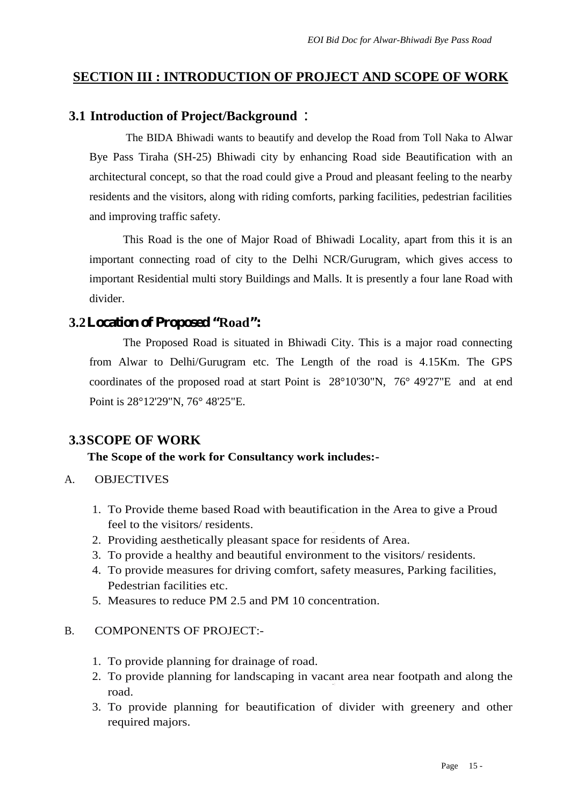## **SECTION III : INTRODUCTION OF PROJECT AND SCOPE OF WORK**

## **3.1 Introduction of Project/Background** :

The BIDA Bhiwadi wants to beautify and develop the Road from Toll Naka to Alwar Bye Pass Tiraha (SH-25) Bhiwadi city by enhancing Road side Beautification with an architectural concept, so that the road could give a Proud and pleasant feeling to the nearby residents and the visitors, along with riding comforts, parking facilities, pedestrian facilities and improving traffic safety.

This Road is the one of Major Road of Bhiwadi Locality, apart from this it is an important connecting road of city to the Delhi NCR/Gurugram, which gives access to important Residential multi story Buildings and Malls. It is presently a four lane Road with divider.

## **3.2Location of Proposed "Road":**

The Proposed Road is situated in Bhiwadi City. This is a major road connecting from Alwar to Delhi/Gurugram etc. The Length of the road is 4.15Km. The GPS coordinates of the proposed road at start Point is 28°10'30"N, 76° 49'27"E and at end Point is 28°12'29"N, 76° 48'25"E.

## **3.3SCOPE OF WORK**

### **The Scope of the work for Consultancy work includes:-**

- A. OBJECTIVES
	- 1. To Provide theme based Road with beautification in the Area to give a Proud feel to the visitors/ residents.
	- 2. Providing aesthetically pleasant space for residents of Area.
	- 3. To provide a healthy and beautiful environment to the visitors/ residents.
	- 4. To provide measures for driving comfort, safety measures, Parking facilities, Pedestrian facilities etc.
	- 5. Measures to reduce PM 2.5 and PM 10 concentration.

### B. COMPONENTS OF PROJECT:-

- 1. To provide planning for drainage of road.
- •I 2. To provide planning for landscaping in vacant area near footpath and along the road.
- 3. To provide planning for beautification of divider with greenery and other required majors.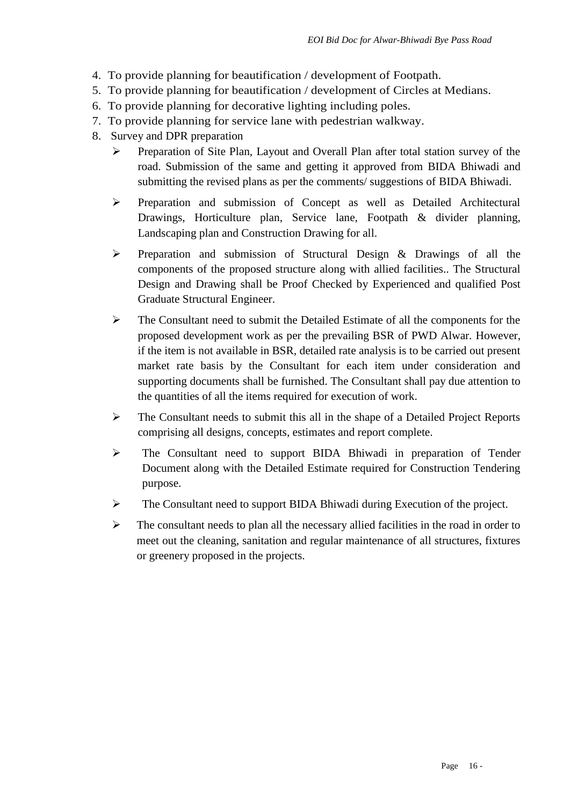- 4. To provide planning for beautification / development of Footpath.
- 5. To provide planning for beautification / development of Circles at Medians.
- 6. To provide planning for decorative lighting including poles.
- 7. To provide planning for service lane with pedestrian walkway.
- 8. Survey and DPR preparation
	- Preparation of Site Plan, Layout and Overall Plan after total station survey of the road. Submission of the same and getting it approved from BIDA Bhiwadi and submitting the revised plans as per the comments/ suggestions of BIDA Bhiwadi.
	- $\triangleright$  Preparation and submission of Concept as well as Detailed Architectural Drawings, Horticulture plan, Service lane, Footpath & divider planning, Landscaping plan and Construction Drawing for all.
	- $\triangleright$  Preparation and submission of Structural Design & Drawings of all the components of the proposed structure along with allied facilities.. The Structural Design and Drawing shall be Proof Checked by Experienced and qualified Post Graduate Structural Engineer.
	- $\triangleright$  The Consultant need to submit the Detailed Estimate of all the components for the proposed development work as per the prevailing BSR of PWD Alwar. However, if the item is not available in BSR, detailed rate analysis is to be carried out present market rate basis by the Consultant for each item under consideration and supporting documents shall be furnished. The Consultant shall pay due attention to the quantities of all the items required for execution of work.
	- $\triangleright$  The Consultant needs to submit this all in the shape of a Detailed Project Reports comprising all designs, concepts, estimates and report complete.
	- $\triangleright$  The Consultant need to support BIDA Bhiwadi in preparation of Tender Document along with the Detailed Estimate required for Construction Tendering purpose.
	- $\triangleright$  The Consultant need to support BIDA Bhiwadi during Execution of the project.
	- $\triangleright$  The consultant needs to plan all the necessary allied facilities in the road in order to meet out the cleaning, sanitation and regular maintenance of all structures, fixtures or greenery proposed in the projects.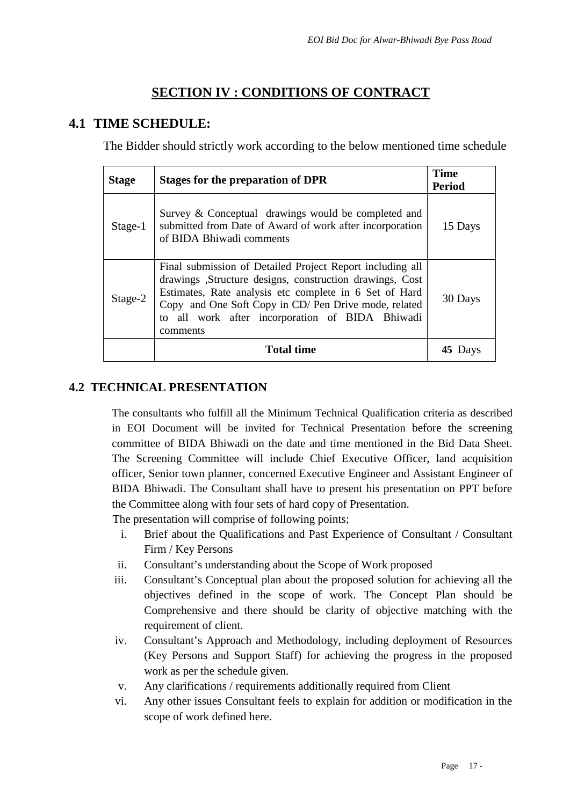## **SECTION IV : CONDITIONS OF CONTRACT**

## **4.1 TIME SCHEDULE:**

The Bidder should strictly work according to the below mentioned time schedule

| <b>Stage</b> | Stages for the preparation of DPR                                                                                                                                                                                                                                                                       | <b>Time</b><br><b>Period</b> |  |
|--------------|---------------------------------------------------------------------------------------------------------------------------------------------------------------------------------------------------------------------------------------------------------------------------------------------------------|------------------------------|--|
| $Stage-1$    | Survey & Conceptual drawings would be completed and<br>submitted from Date of Award of work after incorporation<br>of BIDA Bhiwadi comments                                                                                                                                                             | 15 Days                      |  |
| Stage-2      | Final submission of Detailed Project Report including all<br>drawings ,Structure designs, construction drawings, Cost<br>Estimates, Rate analysis etc complete in 6 Set of Hard<br>Copy and One Soft Copy in CD/ Pen Drive mode, related<br>to all work after incorporation of BIDA Bhiwadi<br>comments | 30 Days                      |  |
|              | <b>Total time</b>                                                                                                                                                                                                                                                                                       | 45 Days                      |  |

## **4.2 TECHNICAL PRESENTATION**

The consultants who fulfill all the Minimum Technical Qualification criteria as described in EOI Document will be invited for Technical Presentation before the screening committee of BIDA Bhiwadi on the date and time mentioned in the Bid Data Sheet. The Screening Committee will include Chief Executive Officer, land acquisition officer, Senior town planner, concerned Executive Engineer and Assistant Engineer of BIDA Bhiwadi. The Consultant shall have to present his presentation on PPT before the Committee along with four sets of hard copy of Presentation.

The presentation will comprise of following points;

- i. Brief about the Qualifications and Past Experience of Consultant / Consultant Firm / Key Persons
- ii. Consultant's understanding about the Scope of Work proposed
- iii. Consultant's Conceptual plan about the proposed solution for achieving all the objectives defined in the scope of work. The Concept Plan should be Comprehensive and there should be clarity of objective matching with the requirement of client.
- iv. Consultant's Approach and Methodology, including deployment of Resources (Key Persons and Support Staff) for achieving the progress in the proposed work as per the schedule given.
- v. Any clarifications / requirements additionally required from Client
- vi. Any other issues Consultant feels to explain for addition or modification in the scope of work defined here.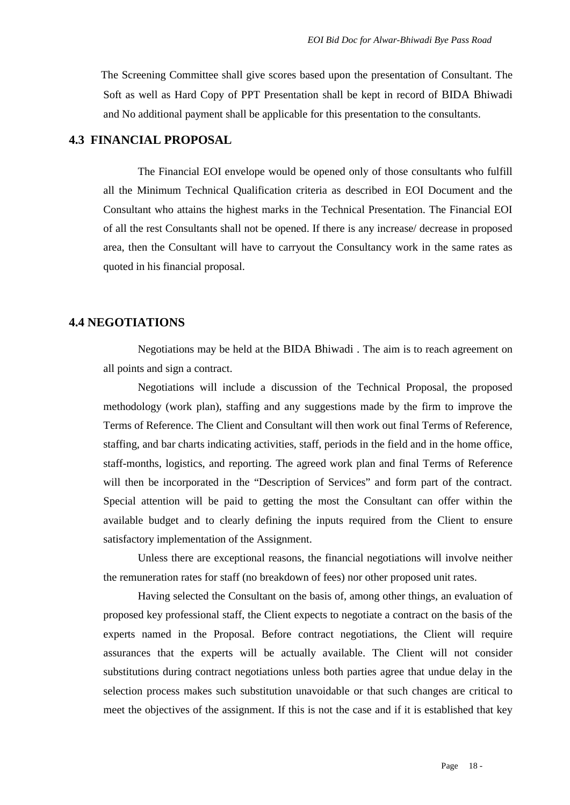The Screening Committee shall give scores based upon the presentation of Consultant. The Soft as well as Hard Copy of PPT Presentation shall be kept in record of BIDA Bhiwadi and No additional payment shall be applicable for this presentation to the consultants.

#### **4.3 FINANCIAL PROPOSAL**

The Financial EOI envelope would be opened only of those consultants who fulfill all the Minimum Technical Qualification criteria as described in EOI Document and the Consultant who attains the highest marks in the Technical Presentation. The Financial EOI of all the rest Consultants shall not be opened. If there is any increase/ decrease in proposed area, then the Consultant will have to carryout the Consultancy work in the same rates as quoted in his financial proposal.

#### **4.4 NEGOTIATIONS**

Negotiations may be held at the BIDA Bhiwadi . The aim is to reach agreement on all points and sign a contract.

Negotiations will include a discussion of the Technical Proposal, the proposed methodology (work plan), staffing and any suggestions made by the firm to improve the Terms of Reference. The Client and Consultant will then work out final Terms of Reference, staffing, and bar charts indicating activities, staff, periods in the field and in the home office, staff-months, logistics, and reporting. The agreed work plan and final Terms of Reference will then be incorporated in the "Description of Services" and form part of the contract. Special attention will be paid to getting the most the Consultant can offer within the available budget and to clearly defining the inputs required from the Client to ensure satisfactory implementation of the Assignment.

Unless there are exceptional reasons, the financial negotiations will involve neither the remuneration rates for staff (no breakdown of fees) nor other proposed unit rates.

Having selected the Consultant on the basis of, among other things, an evaluation of proposed key professional staff, the Client expects to negotiate a contract on the basis of the experts named in the Proposal. Before contract negotiations, the Client will require assurances that the experts will be actually available. The Client will not consider substitutions during contract negotiations unless both parties agree that undue delay in the selection process makes such substitution unavoidable or that such changes are critical to meet the objectives of the assignment. If this is not the case and if it is established that key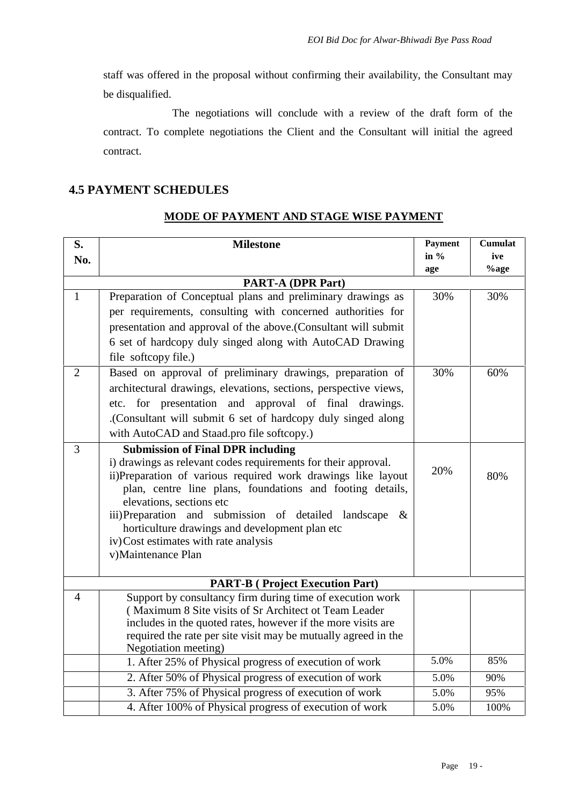staff was offered in the proposal without confirming their availability, the Consultant may be disqualified.

The negotiations will conclude with a review of the draft form of the contract. To complete negotiations the Client and the Consultant will initial the agreed contract.

## **4.5 PAYMENT SCHEDULES**

## **MODE OF PAYMENT AND STAGE WISE PAYMENT**

| S.             | <b>Milestone</b>                                                                                         | Payment<br>in $%$ | <b>Cumulat</b><br>ive |
|----------------|----------------------------------------------------------------------------------------------------------|-------------------|-----------------------|
| No.            |                                                                                                          | age               | $%$ age               |
|                | <b>PART-A (DPR Part)</b>                                                                                 |                   |                       |
| $\mathbf{1}$   | Preparation of Conceptual plans and preliminary drawings as                                              | 30%               | 30%                   |
|                | per requirements, consulting with concerned authorities for                                              |                   |                       |
|                | presentation and approval of the above.(Consultant will submit                                           |                   |                       |
|                | 6 set of hardcopy duly singed along with AutoCAD Drawing                                                 |                   |                       |
|                | file softcopy file.)                                                                                     |                   |                       |
| $\overline{2}$ | Based on approval of preliminary drawings, preparation of                                                | 30%               | 60%                   |
|                | architectural drawings, elevations, sections, perspective views,                                         |                   |                       |
|                | for presentation and approval of final drawings.<br>etc.                                                 |                   |                       |
|                | (Consultant will submit 6 set of hardcopy duly singed along                                              |                   |                       |
|                | with AutoCAD and Staad.pro file softcopy.)                                                               |                   |                       |
| 3              | <b>Submission of Final DPR including</b>                                                                 |                   |                       |
|                | i) drawings as relevant codes requirements for their approval.                                           | 20%               |                       |
|                | ii)Preparation of various required work drawings like layout                                             |                   | 80%                   |
|                | plan, centre line plans, foundations and footing details,                                                |                   |                       |
|                | elevations, sections etc                                                                                 |                   |                       |
|                | iii)Preparation and submission of detailed landscape &<br>horticulture drawings and development plan etc |                   |                       |
|                | iv) Cost estimates with rate analysis                                                                    |                   |                       |
|                | v)Maintenance Plan                                                                                       |                   |                       |
|                |                                                                                                          |                   |                       |
|                | <b>PART-B</b> ( Project Execution Part)                                                                  |                   |                       |
| $\overline{4}$ | Support by consultancy firm during time of execution work                                                |                   |                       |
|                | (Maximum 8 Site visits of Sr Architect ot Team Leader                                                    |                   |                       |
|                | includes in the quoted rates, however if the more visits are                                             |                   |                       |
|                | required the rate per site visit may be mutually agreed in the                                           |                   |                       |
|                | Negotiation meeting)<br>1. After 25% of Physical progress of execution of work                           | 5.0%              | 85%                   |
|                | 2. After 50% of Physical progress of execution of work                                                   | 5.0%              | 90%                   |
|                | 3. After 75% of Physical progress of execution of work                                                   | 5.0%              | 95%                   |
|                | 4. After 100% of Physical progress of execution of work                                                  | 5.0%              | 100%                  |
|                |                                                                                                          |                   |                       |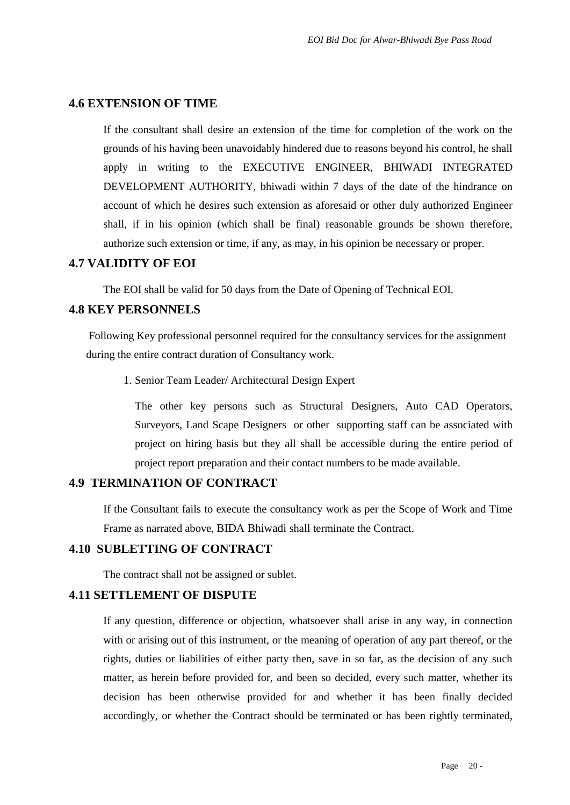#### **4.6 EXTENSION OF TIME**

If the consultant shall desire an extension of the time for completion of the work on the grounds of his having been unavoidably hindered due to reasons beyond his control, he shall apply in writing to the EXECUTIVE ENGINEER, BHIWADI INTEGRATED DEVELOPMENT AUTHORITY, bhiwadi within 7 days of the date of the hindrance on account of which he desires such extension as aforesaid or other duly authorized Engineer shall, if in his opinion (which shall be final) reasonable grounds be shown therefore, authorize such extension or time, if any, as may, in his opinion be necessary or proper.

#### **4.7 VALIDITY OF EOI**

The EOI shall be valid for 50 days from the Date of Opening of Technical EOI.

## **4.8 KEY PERSONNELS**

Following Key professional personnel required for the consultancy services for the assignment during the entire contract duration of Consultancy work.

1. Senior Team Leader/ Architectural Design Expert

The other key persons such as Structural Designers, Auto CAD Operators, Surveyors, Land Scape Designers or other supporting staff can be associated with project on hiring basis but they all shall be accessible during the entire period of project report preparation and their contact numbers to be made available.

#### **4.9 TERMINATION OF CONTRACT**

If the Consultant fails to execute the consultancy work as per the Scope of Work and Time Frame as narrated above, BIDA Bhiwadi shall terminate the Contract.

#### **4.10 SUBLETTING OF CONTRACT**

The contract shall not be assigned or sublet.

#### **4.11 SETTLEMENT OF DISPUTE**

If any question, difference or objection, whatsoever shall arise in any way, in connection with or arising out of this instrument, or the meaning of operation of any part thereof, or the rights, duties or liabilities of either party then, save in so far, as the decision of any such matter, as herein before provided for, and been so decided, every such matter, whether its decision has been otherwise provided for and whether it has been finally decided accordingly, or whether the Contract should be terminated or has been rightly terminated,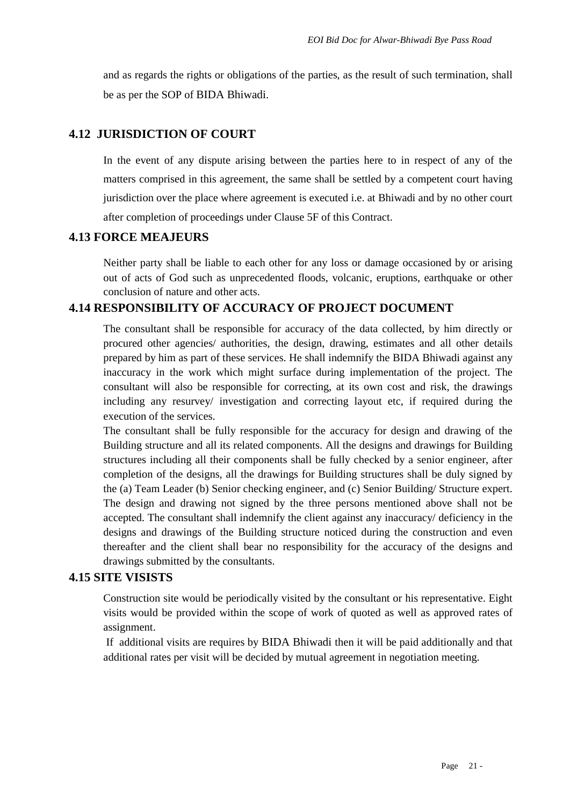and as regards the rights or obligations of the parties, as the result of such termination, shall be as per the SOP of BIDA Bhiwadi.

## **4.12 JURISDICTION OF COURT**

In the event of any dispute arising between the parties here to in respect of any of the matters comprised in this agreement, the same shall be settled by a competent court having jurisdiction over the place where agreement is executed i.e. at Bhiwadi and by no other court after completion of proceedings under Clause 5F of this Contract.

### **4.13 FORCE MEAJEURS**

Neither party shall be liable to each other for any loss or damage occasioned by or arising out of acts of God such as unprecedented floods, volcanic, eruptions, earthquake or other conclusion of nature and other acts.

## **4.14 RESPONSIBILITY OF ACCURACY OF PROJECT DOCUMENT**

The consultant shall be responsible for accuracy of the data collected, by him directly or procured other agencies/ authorities, the design, drawing, estimates and all other details prepared by him as part of these services. He shall indemnify the BIDA Bhiwadi against any inaccuracy in the work which might surface during implementation of the project. The consultant will also be responsible for correcting, at its own cost and risk, the drawings including any resurvey/ investigation and correcting layout etc, if required during the execution of the services.

The consultant shall be fully responsible for the accuracy for design and drawing of the Building structure and all its related components. All the designs and drawings for Building structures including all their components shall be fully checked by a senior engineer, after completion of the designs, all the drawings for Building structures shall be duly signed by the (a) Team Leader (b) Senior checking engineer, and (c) Senior Building/ Structure expert. The design and drawing not signed by the three persons mentioned above shall not be accepted. The consultant shall indemnify the client against any inaccuracy/ deficiency in the designs and drawings of the Building structure noticed during the construction and even thereafter and the client shall bear no responsibility for the accuracy of the designs and drawings submitted by the consultants.

### **4.15 SITE VISISTS**

Construction site would be periodically visited by the consultant or his representative. Eight visits would be provided within the scope of work of quoted as well as approved rates of assignment.

If additional visits are requires by BIDA Bhiwadi then it will be paid additionally and that additional rates per visit will be decided by mutual agreement in negotiation meeting.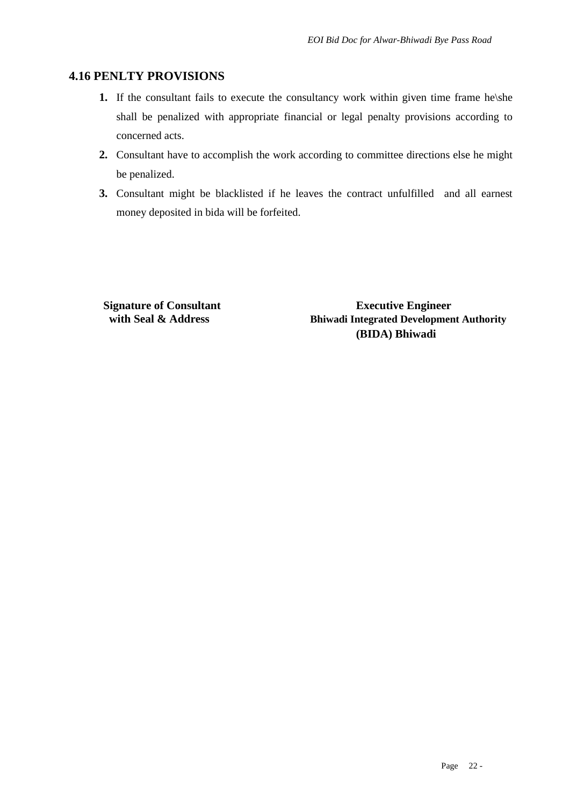### **4.16 PENLTY PROVISIONS**

- **1.** If the consultant fails to execute the consultancy work within given time frame he\she shall be penalized with appropriate financial or legal penalty provisions according to concerned acts.
- **2.** Consultant have to accomplish the work according to committee directions else he might be penalized.
- **3.** Consultant might be blacklisted if he leaves the contract unfulfilled and all earnest money deposited in bida will be forfeited.

**Signature of Consultant Executive Engineer with Seal & Address Bhiwadi Integrated Development Authority (BIDA) Bhiwadi**